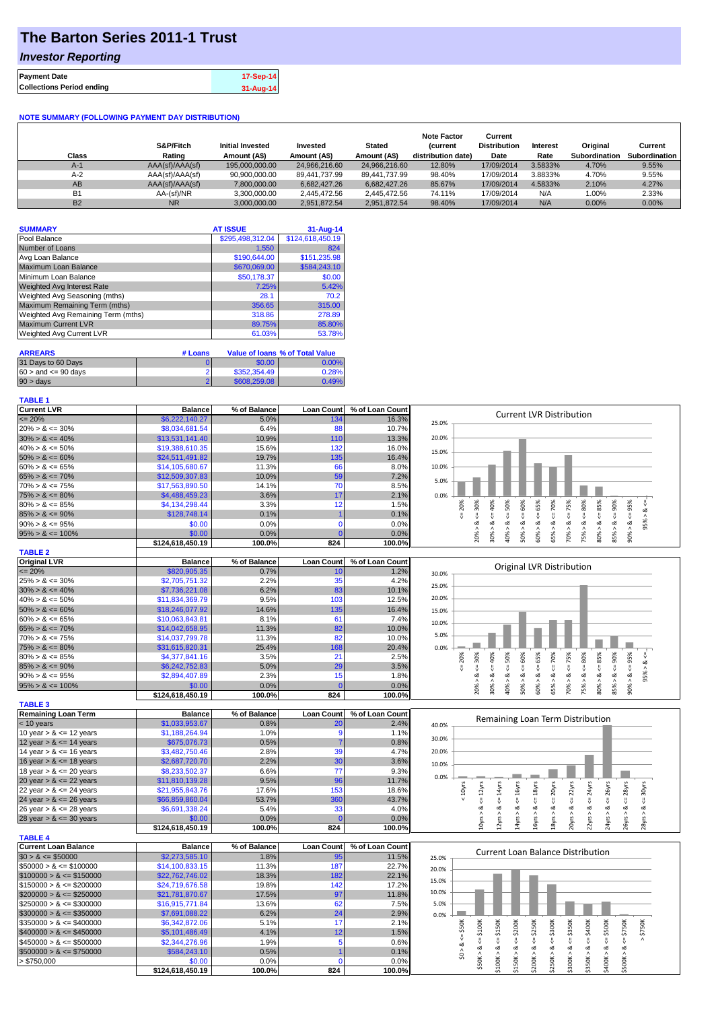## **The Barton Series 2011-1 Trust**

### *Investor Reporting*

|                                  | 17-Sep-14 |
|----------------------------------|-----------|
| <b>Collections Period ending</b> | 31-Aug-14 |

#### **NOTE SUMMARY (FOLLOWING PAYMENT DAY DISTRIBUTION)**

| Class          | S&P/Fitch<br>Rating | <b>Initial Invested</b><br>Amount (A\$) | Invested<br>Amount (A\$) | <b>Stated</b><br>Amount (A\$) | <b>Note Factor</b><br><b>Current</b><br>distribution date) | Current<br><b>Distribution</b><br>Date | Interest<br>Rate | Original<br>Subordination | Current<br>Subordination |
|----------------|---------------------|-----------------------------------------|--------------------------|-------------------------------|------------------------------------------------------------|----------------------------------------|------------------|---------------------------|--------------------------|
| $A-1$          | AAA(sf)/AAA(sf)     | 195,000,000,00                          | 24.966.216.60            | 24.966.216.60                 | 12.80%                                                     | 17/09/2014                             | 3.5833%          | 4.70%                     | 9.55%                    |
| $A-2$          | AAA(sf)/AAA(sf)     | 90.900.000.00                           | 89.441.737.99            | 89.441.737.99                 | 98.40%                                                     | 17/09/2014                             | 3.8833%          | 4.70%                     | 9.55%                    |
| AB             | AAA(sf)/AAA(sf)     | 7.800.000.00                            | 6.682.427.26             | 6.682.427.26                  | 85.67%                                                     | 17/09/2014                             | 4.5833%          | 2.10%                     | 4.27%                    |
| B <sub>1</sub> | AA-(sf)/NR          | 3.300.000.00                            | 2.445.472.56             | 2.445.472.56                  | 74.11%                                                     | 17/09/2014                             | N/A              | 1.00%                     | 2.33%                    |
| <b>B2</b>      | <b>NR</b>           | 3.000.000.00                            | 2.951.872.54             | 2.951.872.54                  | 98.40%                                                     | 17/09/2014                             | N/A              | $0.00\%$                  | $0.00\%$                 |

| <b>SUMMARY</b>                     | <b>AT ISSUE</b>  | 31-Aug-14        |
|------------------------------------|------------------|------------------|
| Pool Balance                       | \$295,498,312.04 | \$124,618,450.19 |
| Number of Loans                    | 1.550            | 824              |
| Avg Loan Balance                   | \$190,644.00     | \$151,235.98     |
| Maximum Loan Balance               | \$670,069.00     | \$584,243.10     |
| Minimum Loan Balance               | \$50,178.37      | \$0.00           |
| <b>Weighted Avg Interest Rate</b>  | 7.25%            | 5.42%            |
| Weighted Avg Seasoning (mths)      | 28.1             | 70.2             |
| Maximum Remaining Term (mths)      | 356.65           | 315.00           |
| Weighted Avg Remaining Term (mths) | 318.86           | 278.89           |
| <b>Maximum Current LVR</b>         | 89.75%           | 85.80%           |
| Weighted Avg Current LVR           | 61.03%           | 53.78%           |

| <b>ARREARS</b>            | # Loans |              | Value of Ioans % of Total Value |
|---------------------------|---------|--------------|---------------------------------|
| 31 Days to 60 Days        |         | \$0.00       | 0.00%                           |
| $60 >$ and $\leq 90$ days |         | \$352,354.49 | 0.28%                           |
| $90 > \text{days}$        |         | \$608,259,08 | 0.49%                           |

#### **TABLE 1**

| <b>Current LVR</b>                                       | <b>Balance</b>             | % of Balance   | <b>Loan Count</b> | % of Loan Count | <b>Current LVR Distribution</b>                                                                                                                                              |
|----------------------------------------------------------|----------------------------|----------------|-------------------|-----------------|------------------------------------------------------------------------------------------------------------------------------------------------------------------------------|
| $\leq$ 20%                                               | \$6,222,140.27             | 5.0%           | 134               | 16.3%           | 25.0%                                                                                                                                                                        |
| $20\% > 8 \le 30\%$                                      | \$8,034,681.54             | 6.4%           | 88                | 10.7%           |                                                                                                                                                                              |
| $30\% > 8 \le 40\%$                                      | \$13,531,141.40            | 10.9%          | 110               | 13.3%           | 20.0%                                                                                                                                                                        |
| $40\% > 8 \le 50\%$                                      | \$19,388,610.35            | 15.6%          | 132               | 16.0%           | 15.0%                                                                                                                                                                        |
| $50\% > 8 \le 60\%$                                      | \$24,511,491.82            | 19.7%          | 135               | 16.4%           |                                                                                                                                                                              |
| $60\% > 8 \le 65\%$                                      | \$14,105,680.67            | 11.3%          | 66                | 8.0%            | 10.0%                                                                                                                                                                        |
| $65\% > 8 \le 70\%$                                      | \$12,509,307.83            | 10.0%          | 59                | 7.2%            |                                                                                                                                                                              |
| $70\% > 8 \le 75\%$                                      | \$17,563,890.50            | 14.1%          | 70                | 8.5%            | 5.0%                                                                                                                                                                         |
| $75\% > 8 \le 80\%$                                      | \$4,488,459.23             | 3.6%           | 17                | 2.1%            | 0.0%                                                                                                                                                                         |
| $80\% > 8 \le 85\%$                                      | \$4,134,298.44             | 3.3%           | 12                | 1.5%            | 80%<br>30%<br>V                                                                                                                                                              |
| $85\% > 8 \le 90\%$                                      | \$128,748.14               | 0.1%           |                   | 0.1%            | $4 = 30\%$<br>$4 - 40%$<br>450%<br>$4 = 70\%$<br>$4 = 20\%$<br>ઌ                                                                                                             |
| $90\% > 8 \le 95\%$                                      | \$0.00                     | 0.0%           | $\mathbf 0$       | 0.0%            | ₹<br>₩<br>∞<br>ø<br>ಹ<br>ಹ                                                                                                                                                   |
|                                                          |                            |                | n                 |                 | 95%                                                                                                                                                                          |
| $95\% > 8 \le 100\%$                                     | \$0.00                     | 0.0%           |                   | 0.0%            | $40\% > 8 <= 50\%$<br>$60\% > 8 \le 65\%$<br>$70\% > 8 \le T5\%$<br>$80\% > 8 \leq 85\%$<br>$90\% > 8 <= 95\%$<br>85% > 8<br>50% > 8<br>20% ><br>30% ><br>65% ><br>75% >     |
|                                                          | \$124,618,450.19           | 100.0%         | 824               | 100.0%          |                                                                                                                                                                              |
| <b>TABLE 2</b>                                           |                            |                |                   |                 |                                                                                                                                                                              |
| <b>Original LVR</b>                                      | <b>Balance</b>             | % of Balance   | <b>Loan Count</b> | % of Loan Count | Original LVR Distribution                                                                                                                                                    |
| $= 20%$                                                  | \$820,905.35               | 0.7%           | 10                | 1.2%            | 30.0%                                                                                                                                                                        |
| $25\% > 8 \le 30\%$                                      | \$2,705,751.32             | 2.2%           | 35                | 4.2%            | 25.0%                                                                                                                                                                        |
| $30\% > 8 \le 40\%$                                      | \$7,736,221.08             | 6.2%           | 83                | 10.1%           |                                                                                                                                                                              |
| $40\% > 8 \le 50\%$                                      | \$11,834,369.79            | 9.5%           | 103               | 12.5%           | 20.0%                                                                                                                                                                        |
| $50\% > 8 \le 60\%$                                      | \$18,246,077.92            | 14.6%          | 135               | 16.4%           | 15.0%                                                                                                                                                                        |
| $60\% > 8 \le 65\%$                                      | \$10,063,843.81            | 8.1%           | 61                | 7.4%            | 10.0%                                                                                                                                                                        |
| $65\% > 8 \le 70\%$                                      | \$14,042,658.95            | 11.3%          | 82                | 10.0%           |                                                                                                                                                                              |
| $70\% > 8 \le 75\%$                                      | \$14,037,799.78            | 11.3%          | 82                | 10.0%           | 5.0%                                                                                                                                                                         |
| $75\% > 8 \le 80\%$                                      | \$31,615,820.31            | 25.4%          | 168               | 20.4%           | 0.0%                                                                                                                                                                         |
| $80\% > 8 \le 85\%$                                      | \$4,377,841.16             | 3.5%           | 21                | 2.5%            | 20%<br>$\leq 40\%$<br>v,                                                                                                                                                     |
| $85\% > 8 \le 90\%$                                      | \$6,242,752.83             | 5.0%           | 29                | 3.5%            | $<=80\%$<br>$\leq 30\%$<br>$<=60%$<br>$4 = 70%$                                                                                                                              |
| $90\% > 8 \le 95\%$                                      | \$2,894,407.89             | 2.3%           | 15                | 1.8%            | $60\% > 8 <= 65\%$<br>$<=75%$<br>$80\% > 8 < -85\%$<br>$85% > 8 <= 90%$<br>$90\% > 8 <= 95\%$<br>$<=50\%$<br>95% > 8.<br>∞<br>ø<br>∞<br>ಹ<br>ಹ                               |
| $95\% > 8 \le 100\%$                                     | \$0.00                     | 0.0%           | <b>C</b>          | 0.0%            | 20% ><br>30% ><br>$40\%$ $>$<br>$50\%$ $>$<br>65% ><br>70% ><br>75% >                                                                                                        |
|                                                          | \$124,618,450.19           | 100.0%         | 824               | 100.0%          |                                                                                                                                                                              |
| <b>TABLE 3</b>                                           |                            |                |                   |                 |                                                                                                                                                                              |
| <b>Remaining Loan Term</b>                               | <b>Balance</b>             | % of Balance   | <b>Loan Count</b> | % of Loan Count |                                                                                                                                                                              |
| $<$ 10 years                                             | \$1,033,953.67             | 0.8%           | 20                | 2.4%            | Remaining Loan Term Distribution                                                                                                                                             |
| 10 year $> 8 \le 12$ years                               | \$1,188,264.94             | 1.0%           |                   | 1.1%            | 40.0%                                                                                                                                                                        |
| 12 year $> 8 \le 14$ years                               |                            |                |                   |                 |                                                                                                                                                                              |
|                                                          |                            |                | <b>O</b>          |                 | 30.0%                                                                                                                                                                        |
|                                                          | \$675,076.73               | 0.5%           |                   | 0.8%            |                                                                                                                                                                              |
| 14 year $> 8 \le 16$ years                               | \$3,482,750.46             | 2.8%           | 39                | 4.7%            | 20.0%                                                                                                                                                                        |
| 16 year $> 8 \le 18$ years                               | \$2,687,720.70             | 2.2%           | 30                | 3.6%            | 10.0%                                                                                                                                                                        |
| 18 year $> 8 \le 20$ years                               | \$8,233,502.37             | 6.6%           | 77                | 9.3%            |                                                                                                                                                                              |
| 20 year $> 8 \le 22$ years                               | \$11,810,139.28            | 9.5%           | 96                | 11.7%           | 0.0%                                                                                                                                                                         |
| 22 year $> 8 \le 24$ years                               | \$21,955,843.76            | 17.6%          | 153               | 18.6%           |                                                                                                                                                                              |
|                                                          | \$66,859,860.04            | 53.7%          | 360               | 43.7%           | $\epsilon$ = 28yrs<br>$\leq$ 26 $y$ rs<br>$\epsilon$ = 18 $\gamma$ rs<br>$\leq$ 20yrs<br>$\leq$ 22 $\gamma$ rs<br>< 10yrs<br>$\leq$ 14yrs<br>$\leq 16$ yrs<br>$\leq$ 30yrs   |
| 26 year > & <= 28 years                                  | \$6,691,338.24             | 5.4%           | 33                | 4.0%            | ઌ<br>ಹ<br>ಎ                                                                                                                                                                  |
|                                                          | \$0.00                     | 0.0%           | r                 | 0.0%            |                                                                                                                                                                              |
| 24 year $> 8 \le 26$ years<br>28 year $> 8 \le 30$ years | \$124,618,450.19           | 100.0%         | 824               | 100.0%          | 22yrs > 8c < 24yrs<br>$0yrs > 8 <= 12yrs$<br>20yrs > 8<br>26yrs > 8<br>24yrs > 8<br>28yrs > 8<br>2yrs > 8<br>14yrs ><br>6yrs<br> 8yrs>                                       |
| <b>TABLE 4</b>                                           |                            |                |                   |                 |                                                                                                                                                                              |
| <b>Current Loan Balance</b>                              | <b>Balance</b>             | % of Balance   | <b>Loan Count</b> | % of Loan Count |                                                                                                                                                                              |
| $$0 > 8 \le $50000$                                      | \$2,273,585.10             | 1.8%           | 95                | 11.5%           | <b>Current Loan Balance Distribution</b><br>25.0%                                                                                                                            |
| $$50000 > 8 \leq $100000$                                | \$14,100,833.15            | 11.3%          | 187               | 22.7%           |                                                                                                                                                                              |
| $$100000 > 8 \leq $150000$                               | \$22,762,746.02            | 18.3%          | 182               | 22.1%           | 20.0%                                                                                                                                                                        |
| $$150000 > 8 \leq $200000$                               | \$24,719,676.58            | 19.8%          | 142               | 17.2%           | 15.0%                                                                                                                                                                        |
| $$200000 > 8 \leq $250000$                               | \$21,781,870.67            | 17.5%          | 97                | 11.8%           | 10.0%                                                                                                                                                                        |
| $$250000 > 8 \leq $300000$                               | \$16,915,771.84            | 13.6%          | 62                | 7.5%            | 5.0%                                                                                                                                                                         |
|                                                          |                            |                |                   |                 |                                                                                                                                                                              |
| $$300000 > 8 \leq $350000$                               | \$7,691,088.22             | 6.2%           | 24                | 2.9%            | 0.0%                                                                                                                                                                         |
| $$350000 > 8 \leq $400000$                               | \$6,342,872.06             | 5.1%           | 17                | 2.1%            |                                                                                                                                                                              |
| $$400000 > 8 \leq $450000$                               | \$5,101,486.49             | 4.1%           | 12                | 1.5%            | \$200K<br>\$350K<br>\$150K<br>\$400K<br>\$750K                                                                                                                               |
| $$450000 > 8 \le $500000$                                | \$2,344,276.96             | 1.9%           | 5                 | 0.6%            | $4 = $300K$<br>V<br>V                                                                                                                                                        |
| $$500000 > 8 \le $750000$                                | \$584,243.10               | 0.5%           |                   | 0.1%            | $$0 > 8 <= $50$ K                                                                                                                                                            |
| > \$750,000                                              | \$0.00<br>\$124,618,450.19 | 0.0%<br>100.0% | 824               | 0.0%<br>100.0%  | $$200K > 8 \leq $250K$<br>$$50K > 8 <= $100K$<br>$$400K > 8 <= $500K$<br>$$500K > 8 \le 5750K$<br>$$100K > 8 <=$<br>$$150K > 8 <=$<br>\$250K > 8<br>\$300K > 8<br>\$350K > 8 |